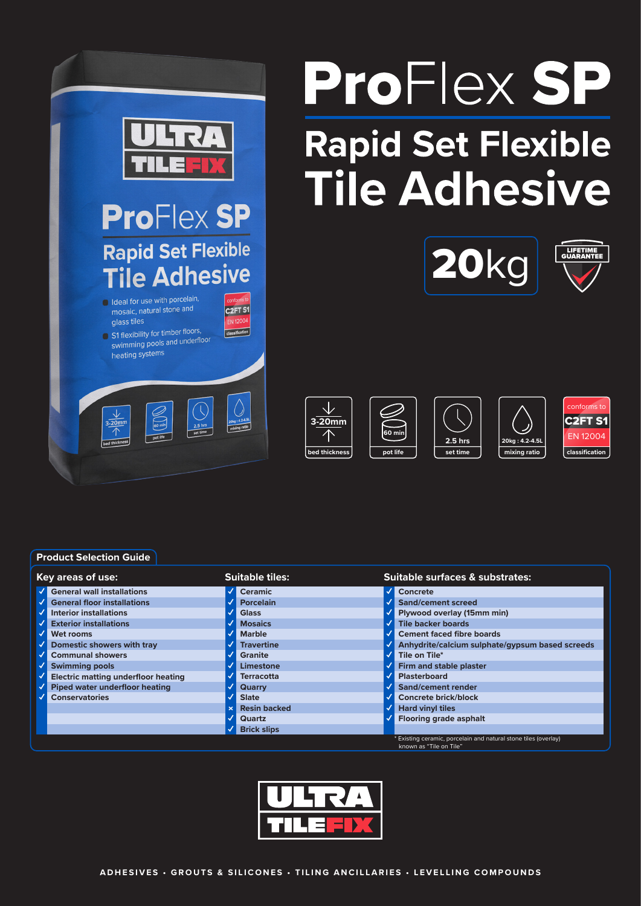

# ProFlex SP **Rapid Set Flexible Tile Adhesive**





 $\sqrt{}$ **3-20mm 60 min bed thickness pot life** **set time 2.5 hrs**

**mixing ratio 20kg : 4.2-4.5L**



**Product Selection Guide**

| Key areas of use: |                                            |  | <b>Suitable tiles:</b> |  | Suitable surfaces & substrates:                                |  |
|-------------------|--------------------------------------------|--|------------------------|--|----------------------------------------------------------------|--|
|                   | <b>General wall installations</b>          |  | <b>Ceramic</b>         |  | Concrete                                                       |  |
|                   | <b>General floor installations</b>         |  | <b>Porcelain</b>       |  | Sand/cement screed                                             |  |
|                   | <b>Interior installations</b>              |  | <b>Glass</b>           |  | Plywood overlay (15mm min)                                     |  |
|                   | <b>Exterior installations</b>              |  | <b>Mosaics</b>         |  | <b>Tile backer boards</b>                                      |  |
|                   | Wet rooms                                  |  | <b>Marble</b>          |  | <b>Cement faced fibre boards</b>                               |  |
|                   | <b>Domestic showers with tray</b>          |  | <b>Travertine</b>      |  | Anhydrite/calcium sulphate/gypsum based screeds                |  |
|                   | <b>Communal showers</b>                    |  | <b>Granite</b>         |  | Tile on Tile*                                                  |  |
|                   | <b>Swimming pools</b>                      |  | Limestone              |  | Firm and stable plaster                                        |  |
|                   | <b>Electric matting underfloor heating</b> |  | <b>Terracotta</b>      |  | <b>Plasterboard</b>                                            |  |
|                   | Piped water underfloor heating             |  | Quarry                 |  | Sand/cement render                                             |  |
|                   | <b>Conservatories</b>                      |  | <b>Slate</b>           |  | <b>Concrete brick/block</b>                                    |  |
|                   |                                            |  | <b>Resin backed</b>    |  | <b>Hard vinyl tiles</b>                                        |  |
|                   |                                            |  | Quartz                 |  | <b>Flooring grade asphalt</b>                                  |  |
|                   |                                            |  | <b>Brick slips</b>     |  | * Evicting coramic porcolain and natural stone tiles (overlay) |  |

\* Existing ceramic, porcelain and natural stone tiles (overlay) known as "Tile on Tile"

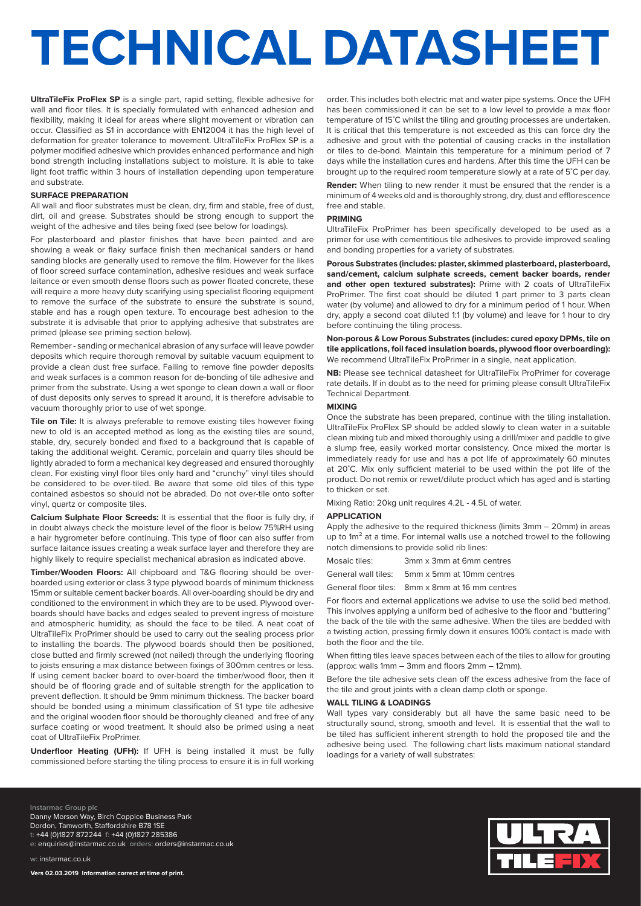# **TECHNICAL DATASHEET**

**UltraTileFix ProFlex SP** is a single part, rapid setting, flexible adhesive for wall and floor tiles. It is specially formulated with enhanced adhesion and flexibility, making it ideal for areas where slight movement or vibration can occur. Classified as S1 in accordance with EN12004 it has the high level of deformation for greater tolerance to movement. UltraTileFix ProFlex SP is a polymer modified adhesive which provides enhanced performance and high bond strength including installations subject to moisture. It is able to take light foot traffic within 3 hours of installation depending upon temperature and substrate.

## **SURFACE PREPARATION**

All wall and floor substrates must be clean, dry, firm and stable, free of dust, dirt, oil and grease. Substrates should be strong enough to support the weight of the adhesive and tiles being fixed (see below for loadings).

For plasterboard and plaster finishes that have been painted and are showing a weak or flaky surface finish then mechanical sanders or hand sanding blocks are generally used to remove the film. However for the likes of floor screed surface contamination, adhesive residues and weak surface laitance or even smooth dense floors such as power floated concrete, these will require a more heavy duty scarifying using specialist flooring equipment to remove the surface of the substrate to ensure the substrate is sound, stable and has a rough open texture. To encourage best adhesion to the substrate it is advisable that prior to applying adhesive that substrates are primed (please see priming section below).

Remember - sanding or mechanical abrasion of any surface will leave powder deposits which require thorough removal by suitable vacuum equipment to provide a clean dust free surface. Failing to remove fine powder deposits and weak surfaces is a common reason for de-bonding of tile adhesive and primer from the substrate. Using a wet sponge to clean down a wall or floor of dust deposits only serves to spread it around, it is therefore advisable to vacuum thoroughly prior to use of wet sponge.

**Tile on Tile:** It is always preferable to remove existing tiles however fixing new to old is an accepted method as long as the existing tiles are sound, stable, dry, securely bonded and fixed to a background that is capable of taking the additional weight. Ceramic, porcelain and quarry tiles should be lightly abraded to form a mechanical key degreased and ensured thoroughly clean. For existing vinyl floor tiles only hard and "crunchy" vinyl tiles should be considered to be over-tiled. Be aware that some old tiles of this type contained asbestos so should not be abraded. Do not over-tile onto softer vinyl, quartz or composite tiles.

**Calcium Sulphate Floor Screeds:** It is essential that the floor is fully dry, if in doubt always check the moisture level of the floor is below 75%RH using a hair hygrometer before continuing. This type of floor can also suffer from surface laitance issues creating a weak surface layer and therefore they are highly likely to require specialist mechanical abrasion as indicated above.

**Timber/Wooden Floors:** All chipboard and T&G flooring should be overboarded using exterior or class 3 type plywood boards of minimum thickness 15mm or suitable cement backer boards. All over-boarding should be dry and conditioned to the environment in which they are to be used. Plywood overboards should have backs and edges sealed to prevent ingress of moisture and atmospheric humidity, as should the face to be tiled. A neat coat of UltraTileFix ProPrimer should be used to carry out the sealing process prior to installing the boards. The plywood boards should then be positioned, close butted and firmly screwed (not nailed) through the underlying flooring to joists ensuring a max distance between fixings of 300mm centres or less. If using cement backer board to over-board the timber/wood floor, then it should be of flooring grade and of suitable strength for the application to prevent deflection. It should be 9mm minimum thickness. The backer board should be bonded using a minimum classification of S1 type tile adhesive and the original wooden floor should be thoroughly cleaned and free of any surface coating or wood treatment. It should also be primed using a neat coat of UltraTileFix ProPrimer.

**Underfloor Heating (UFH):** If UFH is being installed it must be fully commissioned before starting the tiling process to ensure it is in full working

order. This includes both electric mat and water pipe systems. Once the UFH has been commissioned it can be set to a low level to provide a max floor temperature of 15˚C whilst the tiling and grouting processes are undertaken. It is critical that this temperature is not exceeded as this can force dry the adhesive and grout with the potential of causing cracks in the installation or tiles to de-bond. Maintain this temperature for a minimum period of 7 days while the installation cures and hardens. After this time the UFH can be brought up to the required room temperature slowly at a rate of 5˚C per day.

**Render:** When tiling to new render it must be ensured that the render is a minimum of 4 weeks old and is thoroughly strong, dry, dust and efflorescence free and stable.

#### **PRIMING**

UltraTileFix ProPrimer has been specifically developed to be used as a primer for use with cementitious tile adhesives to provide improved sealing and bonding properties for a variety of substrates.

**Porous Substrates (includes: plaster, skimmed plasterboard, plasterboard, sand/cement, calcium sulphate screeds, cement backer boards, render**  and other open textured substrates): Prime with 2 coats of UltraTileFix ProPrimer. The first coat should be diluted 1 part primer to 3 parts clean water (by volume) and allowed to dry for a minimum period of 1 hour. When dry, apply a second coat diluted 1:1 (by volume) and leave for 1 hour to dry before continuing the tiling process.

**Non-porous & Low Porous Substrates (includes: cured epoxy DPMs, tile on tile applications, foil faced insulation boards, plywood floor overboarding):** We recommend UltraTileFix ProPrimer in a single, neat application.

**NB:** Please see technical datasheet for UltraTileFix ProPrimer for coverage rate details. If in doubt as to the need for priming please consult UltraTileFix Technical Department.

### **MIXING**

Once the substrate has been prepared, continue with the tiling installation. UltraTileFix ProFlex SP should be added slowly to clean water in a suitable clean mixing tub and mixed thoroughly using a drill/mixer and paddle to give a slump free, easily worked mortar consistency. Once mixed the mortar is immediately ready for use and has a pot life of approximately 60 minutes at 20˚C. Mix only sufficient material to be used within the pot life of the product. Do not remix or rewet/dilute product which has aged and is starting to thicken or set.

Mixing Ratio: 20kg unit requires 4.2L - 4.5L of water.

#### **APPLICATION**

Apply the adhesive to the required thickness (limits 3mm – 20mm) in areas up to 1m² at a time. For internal walls use a notched trowel to the following notch dimensions to provide solid rib lines:

Mosaic tiles: 3mm x 3mm at 6mm centres

General wall tiles: 5mm x 5mm at 10mm centres

General floor tiles: 8mm x 8mm at 16 mm centres

For floors and external applications we advise to use the solid bed method. This involves applying a uniform bed of adhesive to the floor and "buttering" the back of the tile with the same adhesive. When the tiles are bedded with a twisting action, pressing firmly down it ensures 100% contact is made with both the floor and the tile.

When fitting tiles leave spaces between each of the tiles to allow for grouting (approx: walls 1mm – 3mm and floors 2mm – 12mm).

Before the tile adhesive sets clean off the excess adhesive from the face of the tile and grout joints with a clean damp cloth or sponge.

### **WALL TILING & LOADINGS**

Wall types vary considerably but all have the same basic need to be structurally sound, strong, smooth and level. It is essential that the wall to be tiled has sufficient inherent strength to hold the proposed tile and the adhesive being used. The following chart lists maximum national standard loadings for a variety of wall substrates:

**Instarmac Group plc** Danny Morson Way, Birch Coppice Business Park Dordon, Tamworth, Staffordshire B78 1SE **t:** +44 (0)1827 872244 **f:** +44 (0)1827 285386 **e:** enquiries@instarmac.co.uk **orders:** orders@instarmac.co.uk

**Vers 02.03.2019 Information correct at time of print.**

**w:** instarmac.co.uk